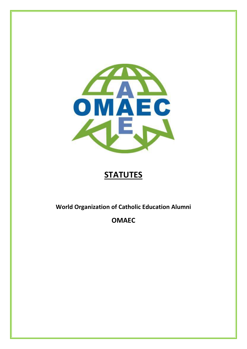

# **STATUTES**

**World Organization of Catholic Education Alumni**

**OMAEC**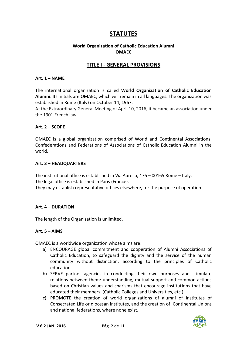# **STATUTES**

#### **World Organization of Catholic Education Alumni OMAEC**

## **TITLE I - GENERAL PROVISIONS**

#### **Art. 1 – NAME**

The international organization is called **World Organization of Catholic Education Alumni**. Its initials are OMAEC, which will remain in all languages. The organization was established in Rome (Italy) on October 14, 1967.

At the Extraordinary General Meeting of April 10, 2016, it became an association under the 1901 French law.

#### **Art. 2 – SCOPE**

OMAEC is a global organization comprised of World and Continental Associations, Confederations and Federations of Associations of Catholic Education Alumni in the world.

#### **Art. 3 – HEADQUARTERS**

The institutional office is established in Via Aurelia, 476 – 00165 Rome – Italy. The legal office is established in Paris (France).

They may establish representative offices elsewhere, for the purpose of operation.

#### **Art. 4 – DURATION**

The length of the Organization is unlimited.

#### **Art. 5 – AIMS**

OMAEC is a worldwide organization whose aims are:

- a) ENCOURAGE global commitment and cooperation of Alumni Associations of Catholic Education, to safeguard the dignity and the service of the human community without distinction, according to the principles of Catholic education.
- b) SERVE partner agencies in conducting their own purposes and stimulate relations between them: understanding, mutual support and common actions based on Christian values and charisms that encourage institutions that have educated their members. (Catholic Colleges and Universities, etc.).
- c) PROMOTE the creation of world organizations of alumni of Institutes of Consecrated Life or diocesan institutes, and the creation of Continental Unions and national federations, where none exist.

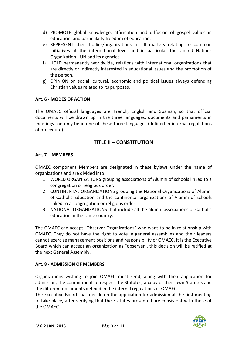- d) PROMOTE global knowledge, affirmation and diffusion of gospel values in education, and particularly freedom of education.
- e) REPRESENT their bodies/organizations in all matters relating to common initiatives at the international level and in particular the United Nations Organization - UN and its agencies.
- f) HOLD permanently worldwide, relations with international organizations that are directly or indirectly interested in educational issues and the promotion of the person.
- g) OPINION on social, cultural, economic and political issues always defending Christian values related to its purposes.

## **Art. 6 - MODES OF ACTION**

The OMAEC official languages are French, English and Spanish, so that official documents will be drawn up in the three languages; documents and parliaments in meetings can only be in one of these three languages (defined in internal regulations of procedure).

## **TITLE II – CONSTITUTION**

#### **Art. 7 – MEMBERS**

OMAEC component Members are designated in these bylaws under the name of organizations and are divided into:

- 1. WORLD ORGANIZATIONS grouping associations of Alumni of schools linked to a congregation or religious order.
- 2. CONTINENTAL ORGANIZATIONS grouping the National Organizations of Alumni of Catholic Education and the continental organizations of Alumni of schools linked to a congregation or religious order.
- 3. NATIONAL ORGANIZATIONS that include all the alumni associations of Catholic education in the same country.

The OMAEC can accept "Observer Organizations" who want to be in relationship with OMAEC. They do not have the right to vote in general assemblies and their leaders cannot exercise management positions and responsibility of OMAEC. It is the Executive Board which can accept an organization as "observer", this decision will be ratified at the next General Assembly.

#### **Art. 8 - ADMISSION OF MEMBERS**

Organizations wishing to join OMAEC must send, along with their application for admission, the commitment to respect the Statutes, a copy of their own Statutes and the different documents defined in the internal regulations of OMAEC.

The Executive Board shall decide on the application for admission at the first meeting to take place, after verifying that the Statutes presented are consistent with those of the OMAEC.

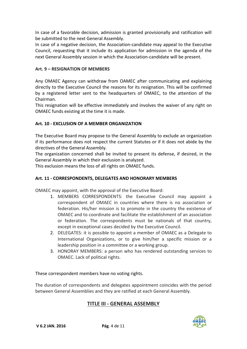In case of a favorable decision, admission is granted provisionally and ratification will be submitted to the next General Assembly.

In case of a negative decision, the Association-candidate may appeal to the Executive Council, requesting that it include its application for admission in the agenda of the next General Assembly session in which the Association-candidate will be present.

#### **Art. 9 – RESIGNATION OF MEMBERS**

Any OMAEC Agency can withdraw from OAMEC after communicating and explaining directly to the Executive Council the reasons for its resignation. This will be confirmed by a registered letter sent to the headquarters of OMAEC, to the attention of the Chairman.

This resignation will be effective immediately and involves the waiver of any right on OMAEC funds existing at the time it is made.

## **Art. 10 - EXCLUSION OF A MEMBER ORGANIZATION**

The Executive Board may propose to the General Assembly to exclude an organization if its performance does not respect the current Statutes or if it does not abide by the directives of the General Assembly.

The organization concerned shall be invited to present its defense, if desired, in the General Assembly in which their exclusion is analyzed.

This exclusion means the loss of all rights on OMAEC funds.

#### **Art. 11 - CORRESPONDENTS, DELEGATES AND HONORARY MEMBERS**

OMAEC may appoint, with the approval of the Executive Board:

- 1. MEMBERS CORRESPONDENTS: the Executive Council may appoint a correspondent of OMAEC in countries where there is no association or federation. His/her mission is to promote in the country the existence of OMAEC and to coordinate and facilitate the establishment of an association or federation. The correspondents must be nationals of that country, except in exceptional cases decided by the Executive Council.
- 2. DELEGATES: it is possible to appoint a member of OMAEC as a Delegate to International Organizations, or to give him/her a specific mission or a leadership position in a committee or a working group.
- 3. HONORAY MEMBERS: a person who has rendered outstanding services to OMAEC. Lack of political rights.

These correspondent members have no voting rights.

The duration of correspondents and delegates appointment coincides with the period between General Assemblies and they are ratified at each General Assembly.

# **TITLE III - GENERAL ASSEMBLY**

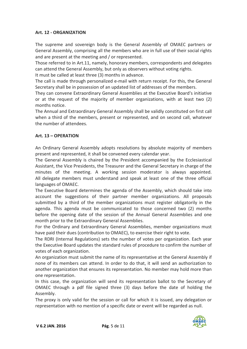#### **Art. 12 - ORGANIZATION**

The supreme and sovereign body is the General Assembly of OMAEC partners or General Assembly, comprising all the members who are in full use of their social rights and are present at the meeting and / or represented.

Those referred to in Art.11, namely, honorary members, correspondents and delegates can attend the General Assembly, but only as observers without voting rights.

It must be called at least three (3) months in advance.

The call is made through personalized e-mail with return receipt. For this, the General Secretary shall be in possession of an updated list of addresses of the members.

They can convene Extraordinary General Assemblies at the Executive Board's initiative or at the request of the majority of member organizations, with at least two (2) months notice.

The Annual and Extraordinary General Assembly shall be validly constituted on first call when a third of the members, present or represented, and on second call, whatever the number of attendees.

#### **Art. 13 – OPERATION**

An Ordinary General Assembly adopts resolutions by absolute majority of members present and represented, it shall be convened every calendar year.

The General Assembly is chaired by the President accompanied by the Ecclesiastical Assistant, the Vice Presidents, the Treasurer and the General Secretary in charge of the minutes of the meeting. A working session moderator is always appointed. All delegate members must understand and speak at least one of the three official languages of OMAEC.

The Executive Board determines the agenda of the Assembly, which should take into account the suggestions of their partner member organizations. All proposals submitted by a third of the member organizations must register obligatorily in the agenda. This agenda must be communicated to those concerned two (2) months before the opening date of the session of the Annual General Assemblies and one month prior to the Extraordinary General Assemblies.

For the Ordinary and Extraordinary General Assemblies, member organizations must have paid their dues (contribution to OMAEC), to exercise their right to vote.

The RDRI (Internal Regulations) sets the number of votes per organization. Each year the Executive Board updates the standard rules of procedure to confirm the number of votes of each organization.

An organization must submit the name of its representative at the General Assembly if none of its members can attend. In order to do that, it will send an authorization to another organization that ensures its representation. No member may hold more than one representation.

In this case, the organization will send its representation ballot to the Secretary of OMAEC through a pdf file signed three (3) days before the date of holding the Assembly.

The proxy is only valid for the session or call for which it is issued, any delegation or representation with no mention of a specific date or event will be regarded as null.

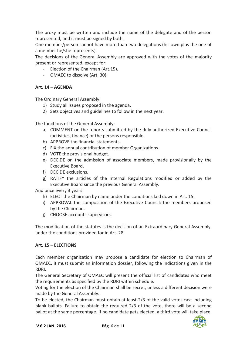The proxy must be written and include the name of the delegate and of the person represented, and it must be signed by both.

One member/person cannot have more than two delegations (his own plus the one of a member he/she represents).

The decisions of the General Assembly are approved with the votes of the majority present or represented, except for:

- Election of the Chairman (Art.15).
- OMAEC to dissolve (Art. 30).

#### **Art. 14 – AGENDA**

The Ordinary General Assembly:

- 1) Study all issues proposed in the agenda.
- 2) Sets objectives and guidelines to follow in the next year.

The functions of the General Assembly:

- a) COMMENT on the reports submitted by the duly authorized Executive Council (activities, finance) or the persons responsible.
- b) APPROVE the financial statements.
- c) FIX the annual contribution of member Organizations.
- d) VOTE the provisional budget.
- e) DECIDE on the admission of associate members, made provisionally by the Executive Board.
- f) DECIDE exclusions.
- g) RATIFY the articles of the Internal Regulations modified or added by the Executive Board since the previous General Assembly.

And once every 3 years:

- h) ELECT the Chairman by name under the conditions laid down in Art. 15.
- i) APPROVAL the composition of the Executive Council: the members proposed by the Chairman.
- j) CHOOSE accounts supervisors.

The modification of the statutes is the decision of an Extraordinary General Assembly, under the conditions provided for in Art. 28.

#### **Art. 15 – ELECTIONS**

Each member organization may propose a candidate for election to Chairman of OMAEC, it must submit an information dossier, following the indications given in the RDRI.

The General Secretary of OMAEC will present the official list of candidates who meet the requirements as specified by the RDRI within schedule.

Voting for the election of the Chairman shall be secret, unless a different decision were made by the General Assembly.

To be elected, the Chairman must obtain at least 2/3 of the valid votes cast including blank ballots. Failure to obtain the required 2/3 of the vote, there will be a second ballot at the same percentage. If no candidate gets elected, a third vote will take place,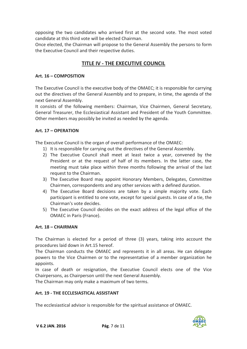opposing the two candidates who arrived first at the second vote. The most voted candidate at this third vote will be elected Chairman.

Once elected, the Chairman will propose to the General Assembly the persons to form the Executive Council and their respective duties.

# **TITLE IV - THE EXECUTIVE COUNCIL**

#### **Art. 16 – COMPOSITION**

The Executive Council is the executive body of the OMAEC; it is responsible for carrying out the directives of the General Assembly and to prepare, in time, the agenda of the next General Assembly.

It consists of the following members: Chairman, Vice Chairmen, General Secretary, General Treasurer, the Ecclesiastical Assistant and President of the Youth Committee. Other members may possibly be invited as needed by the agenda.

#### **Art. 17 – OPERATION**

The Executive Council is the organ of overall performance of the OMAEC:

- 1) It is responsible for carrying out the directives of the General Assembly.
- 2) The Executive Council shall meet at least twice a year, convened by the President or at the request of half of its members. In the latter case, the meeting must take place within three months following the arrival of the last request to the Chairman.
- 3) The Executive Board may appoint Honorary Members, Delegates, Committee Chairmen, correspondents and any other services with a defined duration.
- 4) The Executive Board decisions are taken by a simple majority vote. Each participant is entitled to one vote, except for special guests. In case of a tie, the Chairman's vote decides.
- 5) The Executive Council decides on the exact address of the legal office of the OMAEC in Paris (France).

#### **Art. 18 – CHAIRMAN**

The Chairman is elected for a period of three (3) years, taking into account the procedures laid down in Art.15 hereof.

The Chairman conducts the OMAEC and represents it in all areas. He can delegate powers to the Vice Chairmen or to the representative of a member organization he appoints.

In case of death or resignation, the Executive Council elects one of the Vice Chairpersons, as Chairperson until the next General Assembly.

The Chairman may only make a maximum of two terms.

#### **Art. 19 - THE ECCLESIASTICAL ASSISTANT**

The ecclesiastical advisor is responsible for the spiritual assistance of OMAEC.

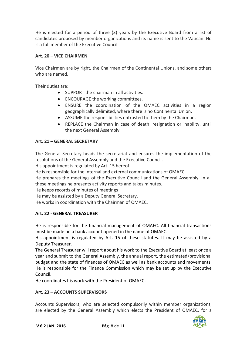He is elected for a period of three (3) years by the Executive Board from a list of candidates proposed by member organizations and its name is sent to the Vatican. He is a full member of the Executive Council.

## **Art. 20 – VICE CHAIRMEN**

Vice Chairmen are by right, the Chairmen of the Continental Unions, and some others who are named.

Their duties are:

- SUPPORT the chairman in all activities.
- ENCOURAGE the working committees.
- ENSURE the coordination of the OMAEC activities in a region geographically delimited, where there is no Continental Union.
- ASSUME the responsibilities entrusted to them by the Chairman.
- REPLACE the Chairman in case of death, resignation or inability, until the next General Assembly.

## **Art. 21 – GENERAL SECRETARY**

The General Secretary heads the secretariat and ensures the implementation of the resolutions of the General Assembly and the Executive Council.

His appointment is regulated by Art. 15 hereof.

He is responsible for the internal and external communications of OMAEC.

He prepares the meetings of the Executive Council and the General Assembly. In all these meetings he presents activity reports and takes minutes.

He keeps records of minutes of meetings

He may be assisted by a Deputy General Secretary.

He works in coordination with the Chairman of OMAEC.

#### **Art. 22 - GENERAL TREASURER**

He is responsible for the financial management of OMAEC. All financial transactions must be made on a bank account opened in the name of OMAEC.

His appointment is regulated by Art. 15 of these statutes. It may be assisted by a Deputy Treasurer.

The General Treasurer will report about his work to the Executive Board at least once a year and submit to the General Assembly, the annual report, the estimated/provisional budget and the state of finances of OMAEC as well as bank accounts and movements. He is responsible for the Finance Commission which may be set up by the Executive Council.

He coordinates his work with the President of OMAEC.

#### **Art. 23 – ACCOUNTS SUPERVISORS**

Accounts Supervisors, who are selected compulsorily within member organizations, are elected by the General Assembly which elects the President of OMAEC, for a

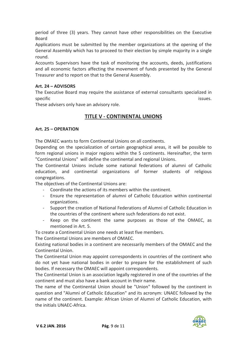period of three (3) years. They cannot have other responsibilities on the Executive Board

Applications must be submitted by the member organizations at the opening of the General Assembly which has to proceed to their election by simple majority in a single round.

Accounts Supervisors have the task of monitoring the accounts, deeds, justifications and all economic factors affecting the movement of funds presented by the General Treasurer and to report on that to the General Assembly.

#### **Art. 24 – ADVISORS**

The Executive Board may require the assistance of external consultants specialized in specific issues. The set of the set of the set of the set of the set of the set of the set of the set of the s

These advisers only have an advisory role.

## **TITLE V - CONTINENTAL UNIONS**

#### **Art. 25 – OPERATION**

The OMAEC wants to form Continental Unions on all continents.

Depending on the specialization of certain geographical areas, it will be possible to form regional unions in major regions within the 5 continents. Hereinafter, the term "Continental Unions" will define the continental and regional Unions.

The Continental Unions include some national federations of alumni of Catholic education, and continental organizations of former students of religious congregations.

The objectives of the Continental Unions are:

- Coordinate the actions of its members within the continent.
- Ensure the representation of alumni of Catholic Education within continental organizations.
- Support the creation of National Federations of Alumni of Catholic Education in the countries of the continent where such federations do not exist.
- Keep on the continent the same purposes as those of the OMAEC, as mentioned in Art. 5.

To create a Continental Union one needs at least five members.

The Continental Unions are members of OMAEC.

Existing national bodies in a continent are necessarily members of the OMAEC and the Continental Union.

The Continental Union may appoint correspondents in countries of the continent who do not yet have national bodies in order to prepare for the establishment of such bodies. If necessary the OMAEC will appoint correspondents.

The Continental Union is an association legally registered in one of the countries of the continent and must also have a bank account in their name.

The name of the Continental Union should be "Union" followed by the continent in question and "Alumni of Catholic Education" and its acronym: UNAEC followed by the name of the continent. Example: African Union of Alumni of Catholic Education, with the initials UNAEC-Africa.

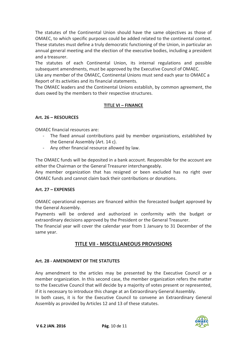The statutes of the Continental Union should have the same objectives as those of OMAEC, to which specific purposes could be added related to the continental context. These statutes must define a truly democratic functioning of the Union, in particular an annual general meeting and the election of the executive bodies, including a president and a treasurer.

The statutes of each Continental Union, its internal regulations and possible subsequent amendments, must be approved by the Executive Council of OMAEC.

Like any member of the OMAEC, Continental Unions must send each year to OMAEC a Report of its activities and its financial statements.

The OMAEC leaders and the Continental Unions establish, by common agreement, the dues owed by the members to their respective structures.

## **TITLE VI – FINANCE**

## **Art. 26 – RESOURCES**

OMAEC financial resources are:

- The fixed annual contributions paid by member organizations, established by the General Assembly (Art. 14 c).
- Any other financial resource allowed by law.

The OMAEC funds will be deposited in a bank account. Responsible for the account are either the Chairman or the General Treasurer interchangeably.

Any member organization that has resigned or been excluded has no right over OMAEC funds and cannot claim back their contributions or donations.

#### **Art. 27 – EXPENSES**

OMAEC operational expenses are financed within the forecasted budget approved by the General Assembly.

Payments will be ordered and authorized in conformity with the budget or extraordinary decisions approved by the President or the General Treasurer.

The financial year will cover the calendar year from 1 January to 31 December of the same year.

# **TITLE VII - MISCELLANEOUS PROVISIONS**

#### **Art. 28 - AMENDMENT OF THE STATUTES**

Any amendment to the articles may be presented by the Executive Council or a member organization. In this second case, the member organization refers the matter to the Executive Council that will decide by a majority of votes present or represented, if it is necessary to introduce this change at an Extraordinary General Assembly. In both cases, it is for the Executive Council to convene an Extraordinary General

Assembly as provided by Articles 12 and 13 of these statutes.